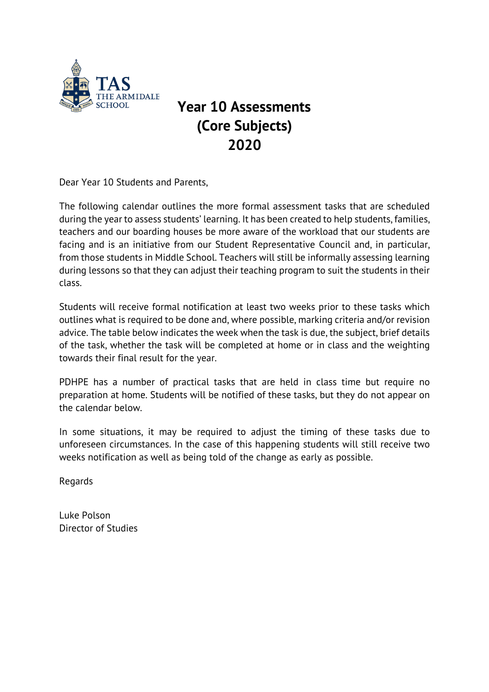

## **Year 10 Assessments (Core Subjects) 2020**

Dear Year 10 Students and Parents,

The following calendar outlines the more formal assessment tasks that are scheduled during the year to assess students' learning. It has been created to help students, families, teachers and our boarding houses be more aware of the workload that our students are facing and is an initiative from our Student Representative Council and, in particular, from those students in Middle School. Teachers will still be informally assessing learning during lessons so that they can adjust their teaching program to suit the students in their class.

Students will receive formal notification at least two weeks prior to these tasks which outlines what is required to be done and, where possible, marking criteria and/or revision advice. The table below indicates the week when the task is due, the subject, brief details of the task, whether the task will be completed at home or in class and the weighting towards their final result for the year.

PDHPE has a number of practical tasks that are held in class time but require no preparation at home. Students will be notified of these tasks, but they do not appear on the calendar below.

In some situations, it may be required to adjust the timing of these tasks due to unforeseen circumstances. In the case of this happening students will still receive two weeks notification as well as being told of the change as early as possible.

Regards

Luke Polson Director of Studies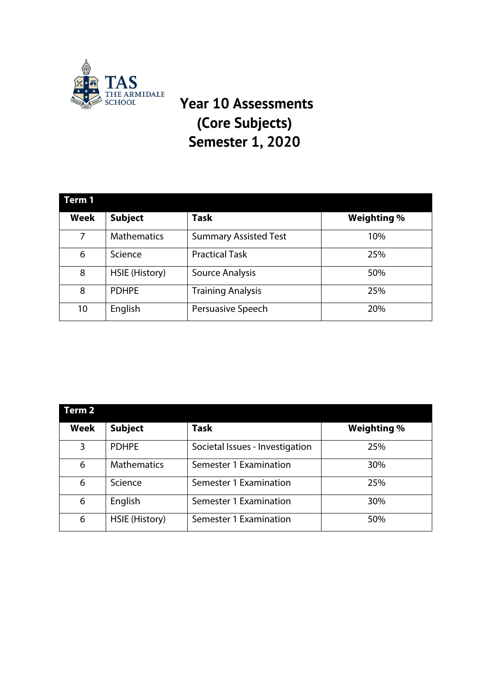

## THE ARMIDALE **Year 10 Assessments (Core Subjects) Semester 1, 2020**

| Term 1      |                    |                              |                    |  |  |  |
|-------------|--------------------|------------------------------|--------------------|--|--|--|
| <b>Week</b> | <b>Subject</b>     | <b>Task</b>                  | <b>Weighting %</b> |  |  |  |
| 7           | <b>Mathematics</b> | <b>Summary Assisted Test</b> | 10%                |  |  |  |
| 6           | Science            | <b>Practical Task</b>        | 25%                |  |  |  |
| 8           | HSIE (History)     | Source Analysis              | 50%                |  |  |  |
| 8           | <b>PDHPE</b>       | <b>Training Analysis</b>     | 25%                |  |  |  |
| 10          | English            | Persuasive Speech            | 20%                |  |  |  |

| Term 2 |                    |                                 |                    |
|--------|--------------------|---------------------------------|--------------------|
| Week   | <b>Subject</b>     | <b>Task</b>                     | <b>Weighting %</b> |
| 3      | <b>PDHPE</b>       | Societal Issues - Investigation | 25%                |
| 6      | <b>Mathematics</b> | Semester 1 Examination          | 30%                |
| 6      | Science            | Semester 1 Examination          | 25%                |
| 6      | English            | Semester 1 Examination          | 30%                |
| 6      | HSIE (History)     | Semester 1 Examination          | 50%                |